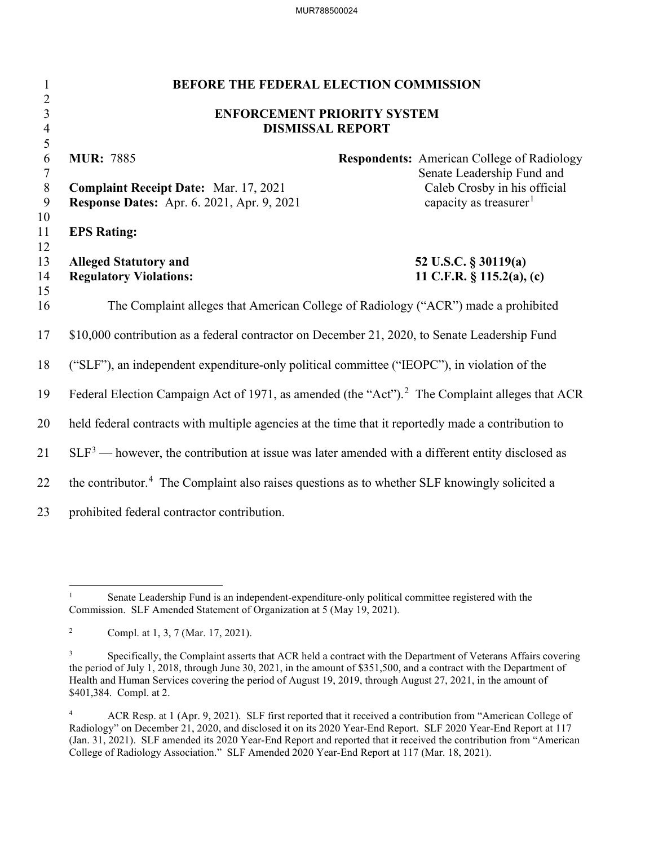MUR788500024

| 1                                | BEFORE THE FEDERAL ELECTION COMMISSION                                                                     |                                                                                 |  |
|----------------------------------|------------------------------------------------------------------------------------------------------------|---------------------------------------------------------------------------------|--|
| $\overline{2}$<br>$\overline{3}$ | <b>ENFORCEMENT PRIORITY SYSTEM</b>                                                                         |                                                                                 |  |
| $\overline{4}$                   | <b>DISMISSAL REPORT</b>                                                                                    |                                                                                 |  |
| $\sqrt{5}$                       |                                                                                                            |                                                                                 |  |
| 6<br>$\overline{7}$              | <b>MUR: 7885</b>                                                                                           | <b>Respondents:</b> American College of Radiology<br>Senate Leadership Fund and |  |
| $\, 8$                           | <b>Complaint Receipt Date: Mar. 17, 2021</b>                                                               | Caleb Crosby in his official                                                    |  |
| 9                                | <b>Response Dates:</b> Apr. 6. 2021, Apr. 9, 2021                                                          | capacity as treasurer <sup>1</sup>                                              |  |
| 10                               |                                                                                                            |                                                                                 |  |
| 11                               | <b>EPS Rating:</b>                                                                                         |                                                                                 |  |
| 12                               |                                                                                                            |                                                                                 |  |
| 13                               | <b>Alleged Statutory and</b>                                                                               | 52 U.S.C. § 30119(a)                                                            |  |
| 14                               | <b>Regulatory Violations:</b>                                                                              | 11 C.F.R. $\S$ 115.2(a), (c)                                                    |  |
| 15                               |                                                                                                            |                                                                                 |  |
| 16                               | The Complaint alleges that American College of Radiology ("ACR") made a prohibited                         |                                                                                 |  |
| 17                               | \$10,000 contribution as a federal contractor on December 21, 2020, to Senate Leadership Fund              |                                                                                 |  |
| 18                               | ("SLF"), an independent expenditure-only political committee ("IEOPC"), in violation of the                |                                                                                 |  |
| 19                               | Federal Election Campaign Act of 1971, as amended (the "Act"). <sup>2</sup> The Complaint alleges that ACR |                                                                                 |  |
| 20                               | held federal contracts with multiple agencies at the time that it reportedly made a contribution to        |                                                                                 |  |
| 21                               | $SLF3$ — however, the contribution at issue was later amended with a different entity disclosed as         |                                                                                 |  |
| 22                               | the contributor. <sup>4</sup> The Complaint also raises questions as to whether SLF knowingly solicited a  |                                                                                 |  |
| 23                               | prohibited federal contractor contribution.                                                                |                                                                                 |  |

<sup>&</sup>lt;sup>1</sup> Senate Leadership Fund is an independent-expenditure-only political committee registered with the Commission. SLF Amended Statement of Organization at 5 (May 19, 2021).

<sup>&</sup>lt;sup>2</sup> Compl. at 1, 3, 7 (Mar. 17, 2021).

<sup>3</sup> Specifically, the Complaint asserts that ACR held a contract with the Department of Veterans Affairs covering the period of July 1, 2018, through June 30, 2021, in the amount of \$351,500, and a contract with the Department of Health and Human Services covering the period of August 19, 2019, through August 27, 2021, in the amount of \$401,384. Compl. at 2.

<sup>&</sup>lt;sup>4</sup> ACR Resp. at 1 (Apr. 9, 2021). SLF first reported that it received a contribution from "American College of Radiology" on December 21, 2020, and disclosed it on its 2020 Year-End Report. SLF 2020 Year-End Report at 117 (Jan. 31, 2021). SLF amended its 2020 Year-End Report and reported that it received the contribution from "American College of Radiology Association." SLF Amended 2020 Year-End Report at 117 (Mar. 18, 2021).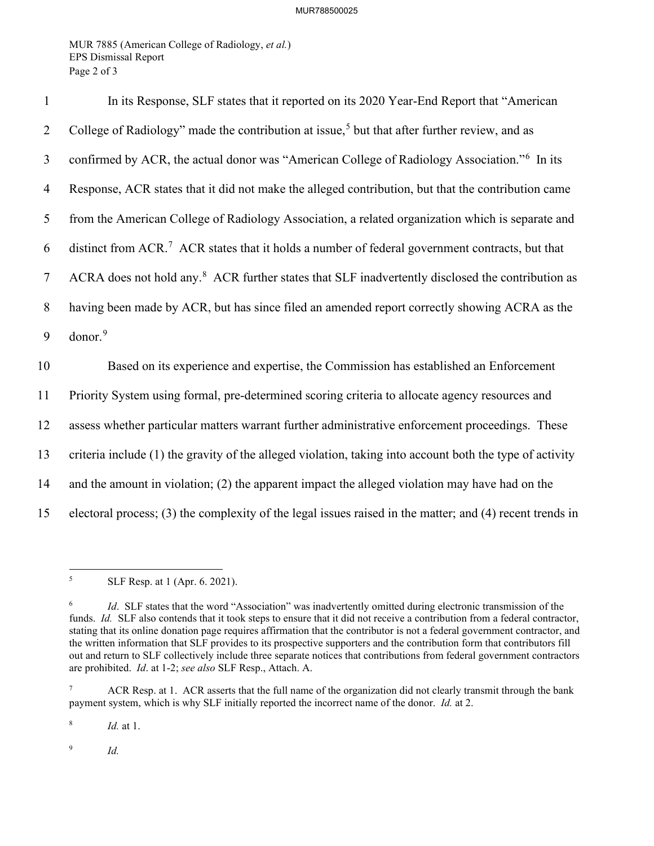MUR 7885 (American College of Radiology, *et al.*) EPS Dismissal Report Page 2 of 3

| $\mathbf{1}$   | In its Response, SLF states that it reported on its 2020 Year-End Report that "American                      |
|----------------|--------------------------------------------------------------------------------------------------------------|
| $\overline{2}$ | College of Radiology" made the contribution at issue, <sup>5</sup> but that after further review, and as     |
| 3              | confirmed by ACR, the actual donor was "American College of Radiology Association." <sup>6</sup> In its      |
| $\overline{4}$ | Response, ACR states that it did not make the alleged contribution, but that the contribution came           |
| 5              | from the American College of Radiology Association, a related organization which is separate and             |
| 6              | distinct from ACR. <sup>7</sup> ACR states that it holds a number of federal government contracts, but that  |
| 7              | ACRA does not hold any. <sup>8</sup> ACR further states that SLF inadvertently disclosed the contribution as |
| 8              | having been made by ACR, but has since filed an amended report correctly showing ACRA as the                 |
| 9              | donor. <sup>9</sup>                                                                                          |
| 10             | Based on its experience and expertise, the Commission has established an Enforcement                         |
| 11             | Priority System using formal, pre-determined scoring criteria to allocate agency resources and               |
| 12             | assess whether particular matters warrant further administrative enforcement proceedings. These              |
| 13             | criteria include (1) the gravity of the alleged violation, taking into account both the type of activity     |
| 14             | and the amount in violation; (2) the apparent impact the alleged violation may have had on the               |
| 15             | electoral process; (3) the complexity of the legal issues raised in the matter; and (4) recent trends in     |

<sup>8</sup> *Id.* at 1.

<sup>9</sup> *Id.*

<sup>5</sup> SLF Resp. at 1 (Apr. 6. 2021).

<sup>6</sup> *Id*. SLF states that the word "Association" was inadvertently omitted during electronic transmission of the funds. *Id.* SLF also contends that it took steps to ensure that it did not receive a contribution from a federal contractor, stating that its online donation page requires affirmation that the contributor is not a federal government contractor, and the written information that SLF provides to its prospective supporters and the contribution form that contributors fill out and return to SLF collectively include three separate notices that contributions from federal government contractors are prohibited. *Id*. at 1-2; *see also* SLF Resp., Attach. A.

<sup>&</sup>lt;sup>7</sup> ACR Resp. at 1. ACR asserts that the full name of the organization did not clearly transmit through the bank payment system, which is why SLF initially reported the incorrect name of the donor. *Id.* at 2.